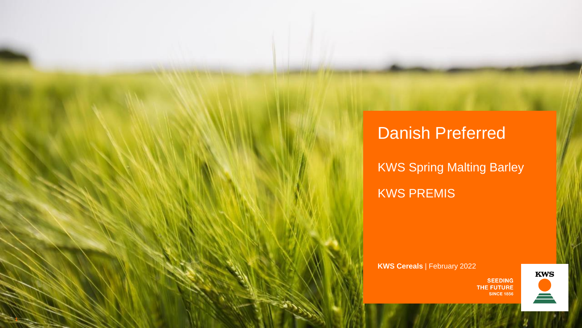## Danish Preferred Danish Preferred

**KWS Spring Malting Barley** KWS PREMIS

**KWS Cereals** | February 2022

**1**

**SEEDING** THE FUTURE<br>SINCE 1856

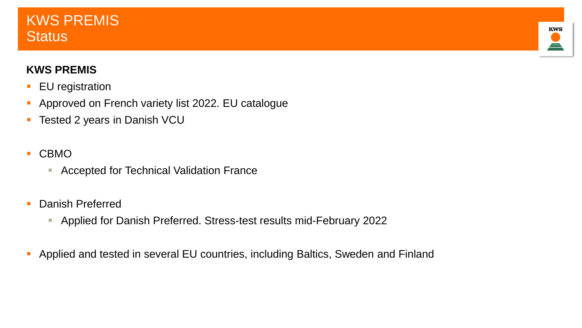### KWS PREMIS **Status**

#### **KWS PREMIS**

- **EU** registration
- **-** Approved on French variety list 2022. EU catalogue
- **Tested 2 years in Danish VCU**
- CBMO
	- **EXPEDED FRACCEPTED FOR THE CONTER FRACE**
- Danish Preferred
	- Applied for Danish Preferred. Stress-test results mid-February 2022
- **Applied and tested in several EU countries, including Baltics, Sweden and Finland**

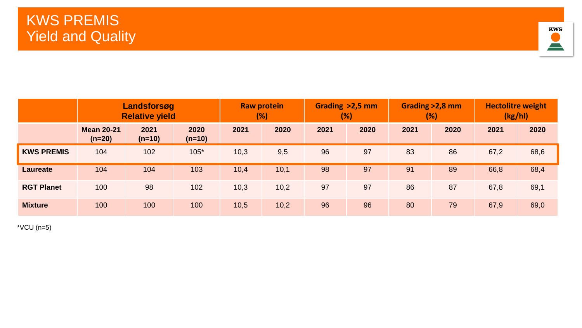

|                   |                               | Landsforsøg<br><b>Relative yield</b> |                  |      | <b>Raw protein</b><br>(%) | Grading >2,5 mm<br>(%) |      |      | Grading >2,8 mm<br>(%) | <b>Hectolitre weight</b><br>(kg/h) |      |
|-------------------|-------------------------------|--------------------------------------|------------------|------|---------------------------|------------------------|------|------|------------------------|------------------------------------|------|
|                   | <b>Mean 20-21</b><br>$(n=20)$ | 2021<br>$(n=10)$                     | 2020<br>$(n=10)$ | 2021 | 2020                      | 2021                   | 2020 | 2021 | 2020                   | 2021                               | 2020 |
| <b>KWS PREMIS</b> | 104                           | 102                                  | $105*$           | 10,3 | 9,5                       | 96                     | 97   | 83   | 86                     | 67,2                               | 68,6 |
| <b>Laureate</b>   | 104                           | 104                                  | 103              | 10,4 | 10,1                      | 98                     | 97   | 91   | 89                     | 66,8                               | 68,4 |
| <b>RGT Planet</b> | 100                           | 98                                   | 102              | 10,3 | 10,2                      | 97                     | 97   | 86   | 87                     | 67,8                               | 69,1 |
| <b>Mixture</b>    | 100                           | 100                                  | 100              | 10,5 | 10,2                      | 96                     | 96   | 80   | 79                     | 67,9                               | 69,0 |

\*VCU (n=5)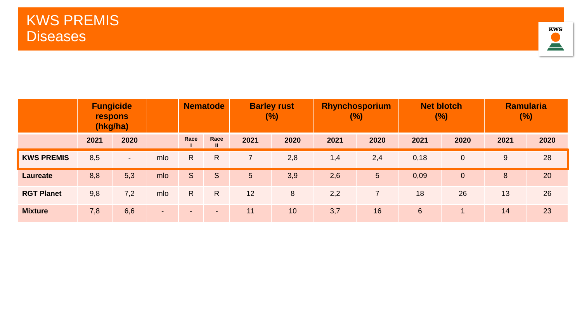

|                   | <b>Fungicide</b><br>respons<br>(hkg/ha) |        | <b>Barley rust</b><br><b>Nematode</b><br>(%) |                          | Rhynchosporium<br>$(\%)$ |                | <b>Net blotch</b><br>(%) |      | Ramularia<br>(%) |                  |                |      |      |
|-------------------|-----------------------------------------|--------|----------------------------------------------|--------------------------|--------------------------|----------------|--------------------------|------|------------------|------------------|----------------|------|------|
|                   | 2021                                    | 2020   |                                              | Race                     | Race<br>Ш.               | 2021           | 2020                     | 2021 | 2020             | 2021             | 2020           | 2021 | 2020 |
| <b>KWS PREMIS</b> | 8,5                                     | $\sim$ | mlo                                          | $\mathsf{R}$             | R.                       | $\overline{7}$ | 2,8                      | 1,4  | 2,4              | 0,18             | $\overline{0}$ | 9    | 28   |
| <b>Laureate</b>   | 8,8                                     | 5,3    | mlo                                          | S.                       | <sub>S</sub>             | 5 <sup>5</sup> | 3,9                      | 2,6  | 5 <sup>5</sup>   | 0,09             | $\overline{0}$ | 8    | 20   |
| <b>RGT Planet</b> | 9,8                                     | 7,2    | mlo                                          | $\mathsf{R}$             | $\mathsf{R}$             | 12             | $\bf 8$                  | 2,2  | 7                | 18               | 26             | 13   | 26   |
| <b>Mixture</b>    | 7,8                                     | 6,6    | $\sim$                                       | $\overline{\phantom{0}}$ | $\overline{\phantom{a}}$ | 11             | 10                       | 3,7  | 16               | $6 \overline{6}$ |                | 14   | 23   |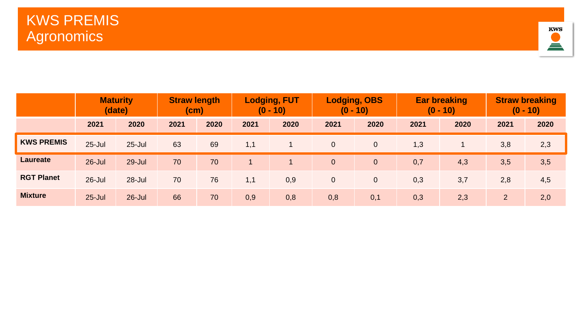

|                   | <b>Maturity</b><br>(date) |            | <b>Straw length</b><br>(cm) |      | <b>Lodging, FUT</b><br>$(0 - 10)$ |      | <b>Lodging, OBS</b><br>$(0 - 10)$ |                | <b>Ear breaking</b><br>$(0 - 10)$ |      | <b>Straw breaking</b><br>$(0 - 10)$ |      |
|-------------------|---------------------------|------------|-----------------------------|------|-----------------------------------|------|-----------------------------------|----------------|-----------------------------------|------|-------------------------------------|------|
|                   | 2021                      | 2020       | 2021                        | 2020 | 2021                              | 2020 | 2021                              | 2020           | 2021                              | 2020 | 2021                                | 2020 |
| <b>KWS PREMIS</b> | $25 -$ Jul                | $25 -$ Jul | 63                          | 69   | 1,1                               |      | $\overline{0}$                    | $\overline{0}$ | 1,3                               |      | 3,8                                 | 2,3  |
| <b>Laureate</b>   | 26-Jul                    | $29 -$ Jul | 70                          | 70   | $\mathbf{1}$                      |      | $\overline{0}$                    | $\overline{0}$ | 0,7                               | 4,3  | 3,5                                 | 3,5  |
| <b>RGT Planet</b> | $26$ -Jul                 | $28 -$ Jul | 70                          | 76   | 1,1                               | 0,9  | $\overline{0}$                    | $\overline{0}$ | 0,3                               | 3,7  | 2,8                                 | 4,5  |
| <b>Mixture</b>    | $25 -$ Jul                | $26$ -Jul  | 66                          | 70   | 0,9                               | 0,8  | 0,8                               | 0,1            | 0,3                               | 2,3  | $\overline{2}$                      | 2,0  |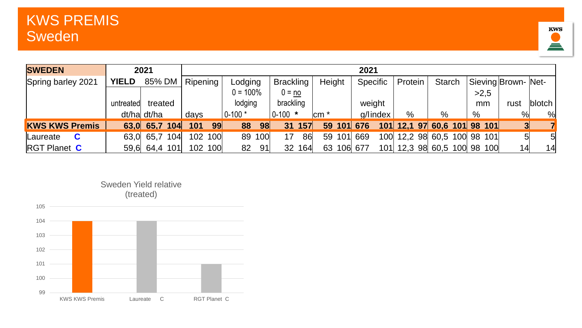### KWS PREMIS Sweden



| <b>SWEDEN</b><br>2021    |              | 2021             |           |             |                  |                   |            |               |                             |      |                     |                       |
|--------------------------|--------------|------------------|-----------|-------------|------------------|-------------------|------------|---------------|-----------------------------|------|---------------------|-----------------------|
| Spring barley 2021       | <b>YIELD</b> | 85% DM           | Ripening  | Lodging     | <b>Brackling</b> | <b>Height</b>     | Specific   | Protein       | <b>Starch</b>               |      | Sieving Brown- Net- |                       |
|                          |              |                  |           | $0 = 100\%$ | $0 = no$         |                   |            |               |                             | >2,5 |                     |                       |
|                          | untreated    | treated          |           | lodging     | brackling        |                   | weight     |               |                             | mm   | rust                | $\blacksquare$ blotch |
|                          |              | dt/ha dt/ha      | days      | $0-100*$    | $0-100$ *        | lcm *             | g/lindex   | $\frac{0}{0}$ | $\%$                        | $\%$ | $\%$                | %                     |
| <b>KWS KWS Premis</b>    |              | 63,0 65,7 104    | 101<br>99 | 88          | 31<br>98         | 157<br>59 101 676 |            |               | 101 12,1 97 60,6 101 98 101 |      |                     |                       |
| $\mathbf C$<br>lLaureate |              | 63,0 65,7<br>104 | 102 100   | 100<br>89   | 17               | 86<br>59 101      | 669<br>100 |               | 12,2 98 60,5 100 98 101     |      |                     | $5\overline{)}$       |
| <b>RGT Planet C</b>      |              | 59,6 64,4 101    | 102 100   | 82          | 91<br>32         | 164<br>63 106 677 | 101        |               | 12,3 98 60,5 100 98 100     |      | 14                  | 14                    |